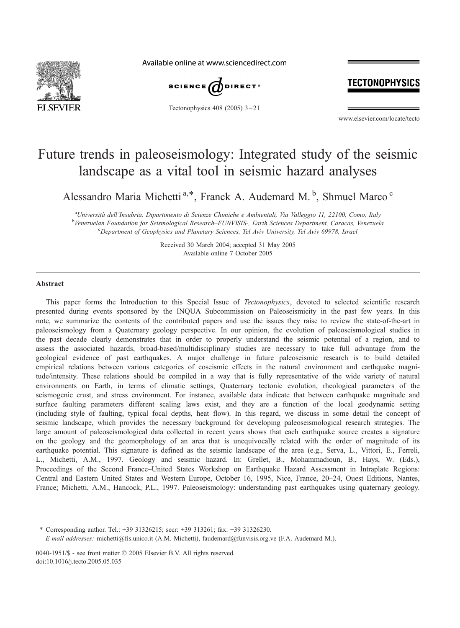

Available online at www.sciencedirect.com



Tectonophysics  $408$  (2005)  $3-21$ 

## TECTONOPHYSICS

www.elsevier.com/locate/tecto

# Future trends in paleoseismology: Integrated study of the seismic landscape as a vital tool in seismic hazard analyses

Alessandro Maria Michetti<sup>a,\*</sup>, Franck A. Audemard M.<sup>b</sup>, Shmuel Marco<sup>c</sup>

<sup>a</sup>Università dell'Insubria, Dipartimento di Scienze Chimiche e Ambientali, Via Valleggio 11, 22100, Como, Italy<br>Planezualen Foundation for Scienzelogical Becagnely FUNIZISIS. Farth Sciences Doportment, Canagas, Venezual <sup>b</sup>Venezuelan Foundation for Seismological Research–FUNVISIS-, Earth Sciences Department, Caracas, Venezuela Department of Geophysics and Planetary Sciences, Tel Aviv University, Tel Aviv 69978, Israel

> Received 30 March 2004; accepted 31 May 2005 Available online 7 October 2005

#### Abstract

This paper forms the Introduction to this Special Issue of Tectonophysics, devoted to selected scientific research presented during events sponsored by the INQUA Subcommission on Paleoseismicity in the past few years. In this note, we summarize the contents of the contributed papers and use the issues they raise to review the state-of-the-art in paleoseismology from a Quaternary geology perspective. In our opinion, the evolution of paleoseismological studies in the past decade clearly demonstrates that in order to properly understand the seismic potential of a region, and to assess the associated hazards, broad-based/multidisciplinary studies are necessary to take full advantage from the geological evidence of past earthquakes. A major challenge in future paleoseismic research is to build detailed empirical relations between various categories of coseismic effects in the natural environment and earthquake magnitude/intensity. These relations should be compiled in a way that is fully representative of the wide variety of natural environments on Earth, in terms of climatic settings, Quaternary tectonic evolution, rheological parameters of the seismogenic crust, and stress environment. For instance, available data indicate that between earthquake magnitude and surface faulting parameters different scaling laws exist, and they are a function of the local geodynamic setting (including style of faulting, typical focal depths, heat flow). In this regard, we discuss in some detail the concept of seismic landscape, which provides the necessary background for developing paleoseismological research strategies. The large amount of paleoseismological data collected in recent years shows that each earthquake source creates a signature on the geology and the geomorphology of an area that is unequivocally related with the order of magnitude of its earthquake potential. This signature is defined as the seismic landscape of the area (e.g., Serva, L., Vittori, E., Ferreli, L., Michetti, A.M., 1997. Geology and seismic hazard. In: Grellet, B., Mohammadioun, B., Hays, W. (Eds.), Proceedings of the Second France–United States Workshop on Earthquake Hazard Assessment in Intraplate Regions: Central and Eastern United States and Western Europe, October 16, 1995, Nice, France, 20–24, Ouest Editions, Nantes, France; Michetti, A.M., Hancock, P.L., 1997. Paleoseismology: understanding past earthquakes using quaternary geology.

\* Corresponding author. Tel.: +39 31326215; secr: +39 313261; fax: +39 31326230.

E-mail addresses: michetti@fis.unico.it (A.M. Michetti), faudemard@funvisis.org.ve (F.A. Audemard M.).

0040-1951/\$ - see front matter  $\odot$  2005 Elsevier B.V. All rights reserved. doi:10.1016/j.tecto.2005.05.035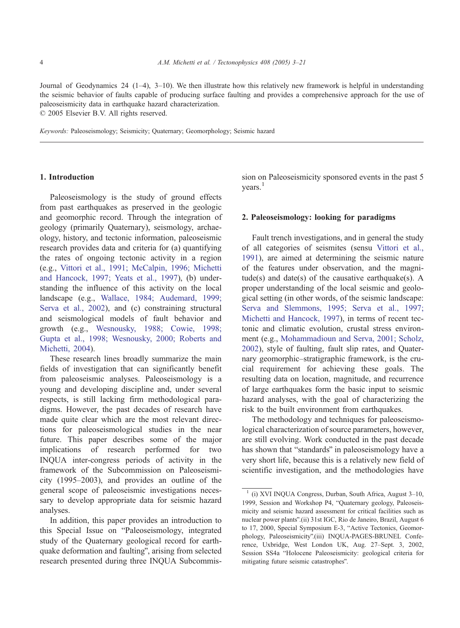Journal of Geodynamics 24  $(1-4)$ , 3-10). We then illustrate how this relatively new framework is helpful in understanding the seismic behavior of faults capable of producing surface faulting and provides a comprehensive approach for the use of paleoseismicity data in earthquake hazard characterization.  $© 2005 Elsevier B.V. All rights reserved.$ 

Keywords: Paleoseismology; Seismicity; Quaternary; Geomorphology; Seismic hazard

#### 1. Introduction

Paleoseismology is the study of ground effects from past earthquakes as preserved in the geologic and geomorphic record. Through the integration of geology (primarily Quaternary), seismology, archaeology, history, and tectonic information, paleoseismic research provides data and criteria for (a) quantifying the rates of ongoing tectonic activity in a region (e.g., [Vittori et al., 1991; McCalpin, 1996; Michetti](#page-18-0) and Hancock, 1997; Yeats et al., 1997), (b) understanding the influence of this activity on the local landscape (e.g., [Wallace, 1984; Audemard, 1999;](#page-18-0) Serva et al., 2002), and (c) constraining structural and seismological models of fault behavior and growth (e.g., [Wesnousky, 1988; Cowie, 1998;](#page-18-0) Gupta et al., 1998; Wesnousky, 2000; Roberts and Michetti, 2004).

These research lines broadly summarize the main fields of investigation that can significantly benefit from paleoseismic analyses. Paleoseismology is a young and developing discipline and, under several respects, is still lacking firm methodological paradigms. However, the past decades of research have made quite clear which are the most relevant directions for paleoseismological studies in the near future. This paper describes some of the major implications of research performed for two INQUA inter-congress periods of activity in the framework of the Subcommission on Paleoseismicity (1995–2003), and provides an outline of the general scope of paleoseismic investigations necessary to develop appropriate data for seismic hazard analyses.

In addition, this paper provides an introduction to this Special Issue on "Paleoseismology, integrated study of the Quaternary geological record for earthquake deformation and faulting", arising from selected research presented during three INQUA Subcommission on Paleoseismicity sponsored events in the past 5  $years.<sup>1</sup>$ 

#### 2. Paleoseismology: looking for paradigms

Fault trench investigations, and in general the study of all categories of seismites (sensu [Vittori et al.,](#page-18-0) 1991), are aimed at determining the seismic nature of the features under observation, and the magnitude(s) and date(s) of the causative earthquake(s). A proper understanding of the local seismic and geological setting (in other words, of the seismic landscape: [Serva and Slemmons, 1995; Serva et al., 1997;](#page-17-0) Michetti and Hancock, 1997), in terms of recent tectonic and climatic evolution, crustal stress environment (e.g., [Mohammadioun and Serva, 2001; Scholz,](#page-17-0) 2002), style of faulting, fault slip rates, and Quaternary geomorphic–stratigraphic framework, is the crucial requirement for achieving these goals. The resulting data on location, magnitude, and recurrence of large earthquakes form the basic input to seismic hazard analyses, with the goal of characterizing the risk to the built environment from earthquakes.

The methodology and techniques for paleoseismological characterization of source parameters, however, are still evolving. Work conducted in the past decade has shown that "standards" in paleoseismology have a very short life, because this is a relatively new field of scientific investigation, and the methodologies have

 $1$  (i) XVI INQUA Congress, Durban, South Africa, August 3-10, 1999, Session and Workshop P4, "Quaternary geology, Paleoseismicity and seismic hazard assessment for critical facilities such as nuclear power plants".(ii) 31st IGC, Rio de Janeiro, Brazil, August 6 to 17, 2000, Special Symposium E-3, "Active Tectonics, Geomorphology, Paleoseismicity".(iii) INQUA-PAGES-BRUNEL Conference, Uxbridge, West London UK, Aug. 27–Sept. 3, 2002, Session SS4a "Holocene Paleoseismicity: geological criteria for mitigating future seismic catastrophes".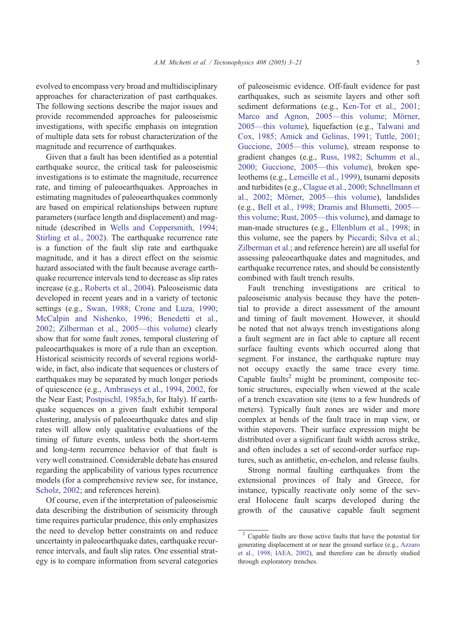evolved to encompass very broad and multidisciplinary approaches for characterization of past earthquakes. The following sections describe the major issues and provide recommended approaches for paleoseismic investigations, with specific emphasis on integration of multiple data sets for robust characterization of the magnitude and recurrence of earthquakes.

Given that a fault has been identified as a potential earthquake source, the critical task for paleoseismic investigations is to estimate the magnitude, recurrence rate, and timing of paleoearthquakes. Approaches in estimating magnitudes of paleoearthquakes commonly are based on empirical relationships between rupture parameters (surface length and displacement) and magnitude (described in [Wells and Coppersmith, 1994;](#page-18-0) Stirling et al., 2002). The earthquake recurrence rate is a function of the fault slip rate and earthquake magnitude, and it has a direct effect on the seismic hazard associated with the fault because average earthquake recurrence intervals tend to decrease as slip rates increase (e.g., [Roberts et al., 2004\)](#page-17-0). Paleoseismic data developed in recent years and in a variety of tectonic settings (e.g., [Swan, 1988; Crone and Luza, 1990;](#page-18-0) McCalpin and Nishenko, 1996; Benedetti et al., 2002; Zilberman et al., 2005—this volume) clearly show that for some fault zones, temporal clustering of paleoearthquakes is more of a rule than an exception. Historical seismicity records of several regions worldwide, in fact, also indicate that sequences or clusters of earthquakes may be separated by much longer periods of quiescence (e.g., [Ambraseys et al., 1994, 2002,](#page-15-0) for the Near East; [Postpischl, 1985a,b,](#page-17-0) for Italy). If earthquake sequences on a given fault exhibit temporal clustering, analysis of paleoearthquake dates and slip rates will allow only qualitative evaluations of the timing of future events, unless both the short-term and long-term recurrence behavior of that fault is very well constrained. Considerable debate has ensured regarding the applicability of various types recurrence models (for a comprehensive review see, for instance, [Scholz, 2002;](#page-17-0) and references herein).

Of course, even if the interpretation of paleoseismic data describing the distribution of seismicity through time requires particular prudence, this only emphasizes the need to develop better constraints on and reduce uncertainty in paleoearthquake dates, earthquake recurrence intervals, and fault slip rates. One essential strategy is to compare information from several categories of paleoseismic evidence. Off-fault evidence for past earthquakes, such as seismite layers and other soft sediment deformations (e.g., [Ken-Tor et al., 2001;](#page-16-0) Marco and Agnon, 2005—this volume; Mörner, 2005—this volume), liquefaction (e.g., [Talwani and](#page-18-0) Cox, 1985; Amick and Gelinas, 1991; Tuttle, 2001; Guccione, 2005—this volume), stream response to gradient changes (e.g., [Russ, 1982; Schumm et al.,](#page-17-0) 2000; Guccione, 2005—this volume), broken speleothems (e.g., [Lemeille et al., 1999\)](#page-16-0), tsunami deposits and turbidites (e.g., [Clague et al., 2000; Schnellmann et](#page-16-0) al., 2002; Mörner, 2005—this volume), landslides (e.g., [Bell et al., 1998; Dramis and Blumetti, 2005](#page-15-0) this volume; Rust, 2005—this volume), and damage to man-made structures (e.g., [Ellenblum et al., 1998;](#page-16-0) in this volume, see the papers by [Piccardi; Silva et al.;](#page-17-0) Zilberman et al.; and reference herein) are all useful for assessing paleoearthquake dates and magnitudes, and earthquake recurrence rates, and should be consistently combined with fault trench results.

Fault trenching investigations are critical to paleoseismic analysis because they have the potential to provide a direct assessment of the amount and timing of fault movement. However, it should be noted that not always trench investigations along a fault segment are in fact able to capture all recent surface faulting events which occurred along that segment. For instance, the earthquake rupture may not occupy exactly the same trace every time. Capable faults<sup>2</sup> might be prominent, composite tectonic structures, especially when viewed at the scale of a trench excavation site (tens to a few hundreds of meters). Typically fault zones are wider and more complex at bends of the fault trace in map view, or within stepovers. Their surface expression might be distributed over a significant fault width across strike, and often includes a set of second-order surface ruptures, such as antithetic, en-echelon, and release faults.

Strong normal faulting earthquakes from the extensional provinces of Italy and Greece, for instance, typically reactivate only some of the several Holocene fault scarps developed during the growth of the causative capable fault segment

<sup>2</sup> Capable faults are those active faults that have the potential for generating displacement at or near the ground surface (e.g., [Azzaro](#page-15-0) et al., 1998; IAEA, 2002), and therefore can be directly studied through exploratory trenches.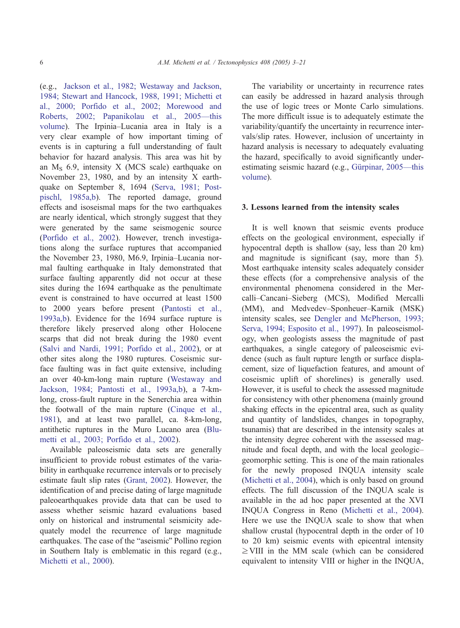(e.g., [Jackson et al., 1982; Westaway and Jackson,](#page-16-0) 1984; Stewart and Hancock, 1988, 1991; Michetti et al., 2000; Porfido et al., 2002; Morewood and Roberts, 2002; Papanikolau et al., 2005—this volume). The Irpinia–Lucania area in Italy is a very clear example of how important timing of events is in capturing a full understanding of fault behavior for hazard analysis. This area was hit by an  $M_S$  6.9, intensity X (MCS scale) earthquake on November 23, 1980, and by an intensity X earthquake on September 8, 1694 ([Serva, 1981; Post](#page-17-0)pischl, 1985a,b). The reported damage, ground effects and isoseismal maps for the two earthquakes are nearly identical, which strongly suggest that they were generated by the same seismogenic source ([Porfido et al., 2002\)](#page-17-0). However, trench investigations along the surface ruptures that accompanied the November 23, 1980, M6.9, Irpinia–Lucania normal faulting earthquake in Italy demonstrated that surface faulting apparently did not occur at these sites during the 1694 earthquake as the penultimate event is constrained to have occurred at least 1500 to 2000 years before present ([Pantosti et al.,](#page-17-0) 1993a,b). Evidence for the 1694 surface rupture is therefore likely preserved along other Holocene scarps that did not break during the 1980 event ([Salvi and Nardi, 1991; Porfido et al., 2002\)](#page-17-0), or at other sites along the 1980 ruptures. Coseismic surface faulting was in fact quite extensive, including an over 40-km-long main rupture ([Westaway and](#page-18-0) Jackson, 1984; Pantosti et al., 1993a,b), a 7-kmlong, cross-fault rupture in the Senerchia area within the footwall of the main rupture ([Cinque et al.,](#page-16-0) 1981), and at least two parallel, ca. 8-km-long, antithetic ruptures in the Muro Lucano area ([Blu](#page-15-0)metti et al., 2003; Porfido et al., 2002).

Available paleoseismic data sets are generally insufficient to provide robust estimates of the variability in earthquake recurrence intervals or to precisely estimate fault slip rates ([Grant, 2002\)](#page-16-0). However, the identification of and precise dating of large magnitude paleoearthquakes provide data that can be used to assess whether seismic hazard evaluations based only on historical and instrumental seismicity adequately model the recurrence of large magnitude earthquakes. The case of the "aseismic" Pollino region in Southern Italy is emblematic in this regard (e.g., [Michetti et al., 2000\)](#page-16-0).

The variability or uncertainty in recurrence rates can easily be addressed in hazard analysis through the use of logic trees or Monte Carlo simulations. The more difficult issue is to adequately estimate the variability/quantify the uncertainty in recurrence intervals/slip rates. However, inclusion of uncertainty in hazard analysis is necessary to adequately evaluating the hazard, specifically to avoid significantly underestimating seismic hazard (e.g., Gürpinar, 2005—this volume).

#### 3. Lessons learned from the intensity scales

It is well known that seismic events produce effects on the geological environment, especially if hypocentral depth is shallow (say, less than 20 km) and magnitude is significant (say, more than 5). Most earthquake intensity scales adequately consider these effects (for a comprehensive analysis of the environmental phenomena considered in the Mercalli–Cancani–Sieberg (MCS), Modified Mercalli (MM), and Medvedev–Sponheuer–Karnik (MSK) intensity scales, see [Dengler and McPherson, 1993;](#page-16-0) Serva, 1994; Esposito et al., 1997). In paleoseismology, when geologists assess the magnitude of past earthquakes, a single category of paleoseismic evidence (such as fault rupture length or surface displacement, size of liquefaction features, and amount of coseismic uplift of shorelines) is generally used. However, it is useful to check the assessed magnitude for consistency with other phenomena (mainly ground shaking effects in the epicentral area, such as quality and quantity of landslides, changes in topography, tsunamis) that are described in the intensity scales at the intensity degree coherent with the assessed magnitude and focal depth, and with the local geologic– geomorphic setting. This is one of the main rationales for the newly proposed INQUA intensity scale ([Michetti et al., 2004\)](#page-16-0), which is only based on ground effects. The full discussion of the INQUA scale is available in the ad hoc paper presented at the XVI INQUA Congress in Reno ([Michetti et al., 2004\)](#page-16-0). Here we use the INQUA scale to show that when shallow crustal (hypocentral depth in the order of 10 to 20 km) seismic events with epicentral intensity  $\geq$  VIII in the MM scale (which can be considered equivalent to intensity VIII or higher in the INQUA,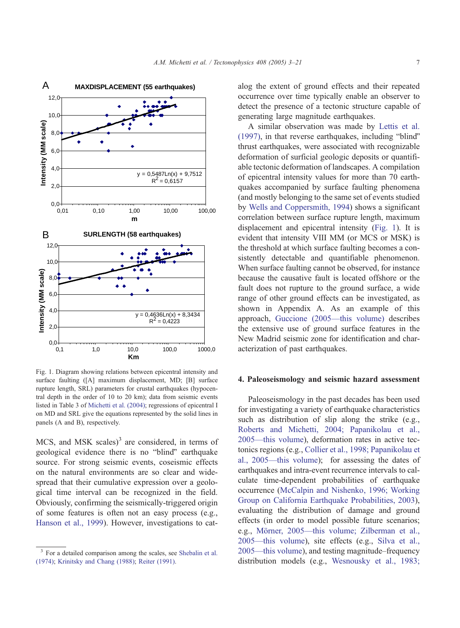

Fig. 1. Diagram showing relations between epicentral intensity and surface faulting ([A] maximum displacement, MD; [B] surface rupture length, SRL) parameters for crustal earthquakes (hypocentral depth in the order of 10 to 20 km); data from seismic events listed in Table 3 of [Michetti et al. \(2004\);](#page-16-0) regressions of epicentral I on MD and SRL give the equations represented by the solid lines in panels (A and B), respectively.

 $MCS$ , and  $MSK$  scales)<sup>3</sup> are considered, in terms of geological evidence there is no "blind" earthquake source. For strong seismic events, coseismic effects on the natural environments are so clear and widespread that their cumulative expression over a geological time interval can be recognized in the field. Obviously, confirming the seismically-triggered origin of some features is often not an easy process (e.g., [Hanson et al., 1999\)](#page-16-0). However, investigations to catalog the extent of ground effects and their repeated occurrence over time typically enable an observer to detect the presence of a tectonic structure capable of generating large magnitude earthquakes.

A similar observation was made by [Lettis et al.](#page-16-0)  $(1997)$ , in that reverse earthquakes, including "blind" thrust earthquakes, were associated with recognizable deformation of surficial geologic deposits or quantifiable tectonic deformation of landscapes. A compilation of epicentral intensity values for more than 70 earthquakes accompanied by surface faulting phenomena (and mostly belonging to the same set of events studied by [Wells and Coppersmith, 1994\)](#page-18-0) shows a significant correlation between surface rupture length, maximum displacement and epicentral intensity (Fig. 1). It is evident that intensity VIII MM (or MCS or MSK) is the threshold at which surface faulting becomes a consistently detectable and quantifiable phenomenon. When surface faulting cannot be observed, for instance because the causative fault is located offshore or the fault does not rupture to the ground surface, a wide range of other ground effects can be investigated, as shown in Appendix A. As an example of this approach, [Guccione \(2005—this volume\)](#page-16-0) describes the extensive use of ground surface features in the New Madrid seismic zone for identification and characterization of past earthquakes.

#### 4. Paleoseismology and seismic hazard assessment

Paleoseismology in the past decades has been used for investigating a variety of earthquake characteristics such as distribution of slip along the strike (e.g., [Roberts and Michetti, 2004; Papanikolau et al.,](#page-17-0) 2005—this volume), deformation rates in active tectonics regions (e.g., [Collier et al., 1998; Papanikolau et](#page-16-0) al., 2005—this volume); for assessing the dates of earthquakes and intra-event recurrence intervals to calculate time-dependent probabilities of earthquake occurrence ([McCalpin and Nishenko, 1996; Working](#page-16-0) Group on California Earthquake Probabilities, 2003), evaluating the distribution of damage and ground effects (in order to model possible future scenarios; e.g., Mörner, 2005—this volume; Zilberman et al., 2005—this volume), site effects (e.g., [Silva et al.,](#page-18-0) 2005—this volume), and testing magnitude–frequency distribution models (e.g., [Wesnousky et al., 1983;](#page-18-0)

<sup>&</sup>lt;sup>3</sup> For a detailed comparison among the scales, see [Shebalin et al.](#page-17-0) (1974); [Krinitsky and Chang \(1988\);](#page-16-0) [Reiter \(1991\).](#page-17-0)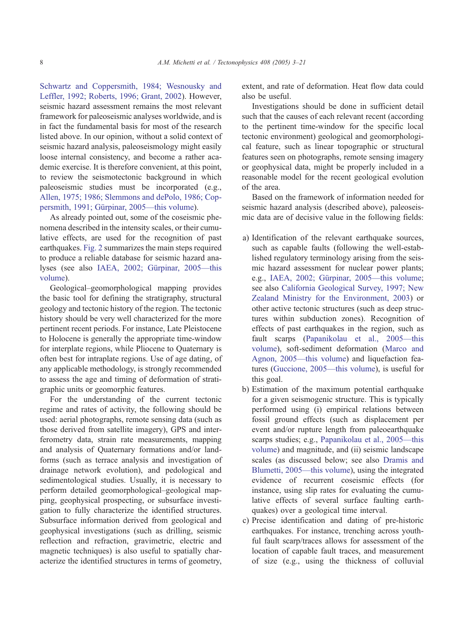Schwartz and Coppersmith, 1984; Wesnousky and Leffler, 1992; Roberts, 1996; Grant, 2002). However, seismic hazard assessment remains the most relevant framework for paleoseismic analyses worldwide, and is in fact the fundamental basis for most of the research listed above. In our opinion, without a solid context of seismic hazard analysis, paleoseismology might easily loose internal consistency, and become a rather academic exercise. It is therefore convenient, at this point, to review the seismotectonic background in which paleoseismic studies must be incorporated (e.g., [Allen, 1975; 1986; Slemmons and dePolo, 1986; Cop](#page-15-0)persmith, 1991; Gürpinar, 2005—this volume).

As already pointed out, some of the coseismic phenomena described in the intensity scales, or their cumulative effects, are used for the recognition of past earthquakes. [Fig. 2](#page-6-0) summarizes the main steps required to produce a reliable database for seismic hazard analyses (see also IAEA, 2002; Gürpinar, 2005—this volume).

Geological–geomorphological mapping provides the basic tool for defining the stratigraphy, structural geology and tectonic history of the region. The tectonic history should be very well characterized for the more pertinent recent periods. For instance, Late Pleistocene to Holocene is generally the appropriate time-window for interplate regions, while Pliocene to Quaternary is often best for intraplate regions. Use of age dating, of any applicable methodology, is strongly recommended to assess the age and timing of deformation of stratigraphic units or geomorphic features.

For the understanding of the current tectonic regime and rates of activity, the following should be used: aerial photographs, remote sensing data (such as those derived from satellite imagery), GPS and interferometry data, strain rate measurements, mapping and analysis of Quaternary formations and/or landforms (such as terrace analysis and investigation of drainage network evolution), and pedological and sedimentological studies. Usually, it is necessary to perform detailed geomorphological–geological mapping, geophysical prospecting, or subsurface investigation to fully characterize the identified structures. Subsurface information derived from geological and geophysical investigations (such as drilling, seismic reflection and refraction, gravimetric, electric and magnetic techniques) is also useful to spatially characterize the identified structures in terms of geometry,

extent, and rate of deformation. Heat flow data could also be useful.

Investigations should be done in sufficient detail such that the causes of each relevant recent (according to the pertinent time-window for the specific local tectonic environment) geological and geomorphological feature, such as linear topographic or structural features seen on photographs, remote sensing imagery or geophysical data, might be properly included in a reasonable model for the recent geological evolution of the area.

Based on the framework of information needed for seismic hazard analysis (described above), paleoseismic data are of decisive value in the following fields:

- a) Identification of the relevant earthquake sources, such as capable faults (following the well-established regulatory terminology arising from the seismic hazard assessment for nuclear power plants; e.g., IAEA, 2002; Gürpinar, 2005—this volume; see also [California Geological Survey, 1997; New](#page-15-0) Zealand Ministry for the Environment, 2003) or other active tectonic structures (such as deep structures within subduction zones). Recognition of effects of past earthquakes in the region, such as fault scarps ([Papanikolau et al., 2005—this](#page-17-0) volume), soft-sediment deformation ([Marco and](#page-16-0) Agnon, 2005—this volume) and liquefaction features ([Guccione, 2005—this volume\)](#page-16-0), is useful for this goal.
- b) Estimation of the maximum potential earthquake for a given seismogenic structure. This is typically performed using (i) empirical relations between fossil ground effects (such as displacement per event and/or rupture length from paleoearthquake scarps studies; e.g., [Papanikolau et al., 2005—this](#page-17-0) volume) and magnitude, and (ii) seismic landscape scales (as discussed below; see also [Dramis and](#page-16-0) Blumetti, 2005—this volume), using the integrated evidence of recurrent coseismic effects (for instance, using slip rates for evaluating the cumulative effects of several surface faulting earthquakes) over a geological time interval.
- c) Precise identification and dating of pre-historic earthquakes. For instance, trenching across youthful fault scarp/traces allows for assessment of the location of capable fault traces, and measurement of size (e.g., using the thickness of colluvial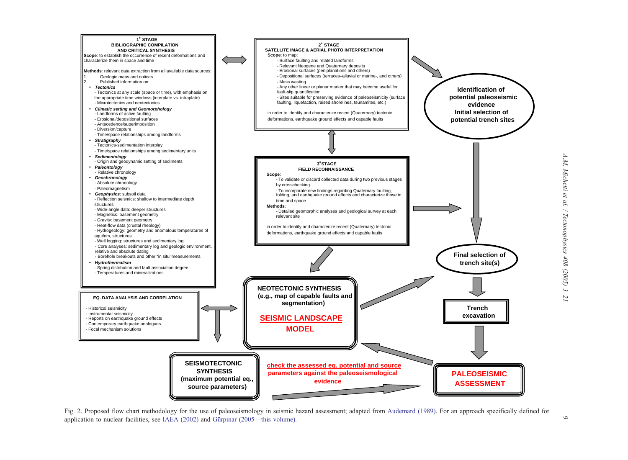<span id="page-6-0"></span>

Fig. 2. Proposed flow chart methodology for the use of paleoseismology in seismic hazard assessment; adapted from [Audemard](#page-15-0) (1989). For an approach specifically defined for application to nuclear facilities, see IAEA  $(2002)$  and Gürpinar  $(2005)$ —this volume).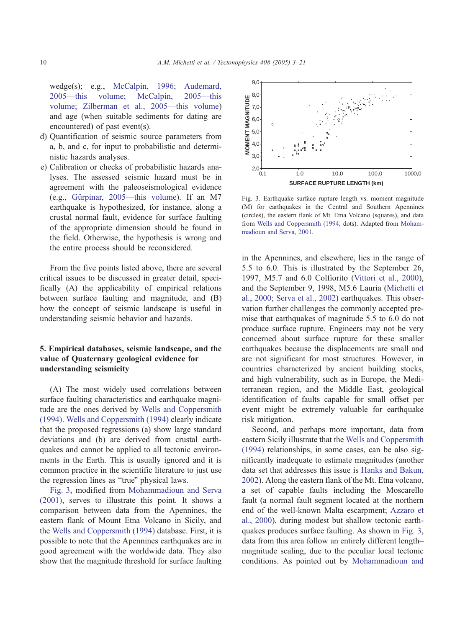wedge(s); e.g., [McCalpin, 1996; Audemard,](#page-16-0) 2005—this volume; McCalpin, 2005—this volume; Zilberman et al., 2005—this volume) and age (when suitable sediments for dating are encountered) of past event(s).

- d) Quantification of seismic source parameters from a, b, and c, for input to probabilistic and deterministic hazards analyses.
- e) Calibration or checks of probabilistic hazards analyses. The assessed seismic hazard must be in agreement with the paleoseismological evidence (e.g., Gürpinar, 2005—this volume). If an M7 earthquake is hypothesized, for instance, along a crustal normal fault, evidence for surface faulting of the appropriate dimension should be found in the field. Otherwise, the hypothesis is wrong and the entire process should be reconsidered.

From the five points listed above, there are several critical issues to be discussed in greater detail, specifically (A) the applicability of empirical relations between surface faulting and magnitude, and (B) how the concept of seismic landscape is useful in understanding seismic behavior and hazards.

## 5. Empirical databases, seismic landscape, and the value of Quaternary geological evidence for understanding seismicity

(A) The most widely used correlations between surface faulting characteristics and earthquake magnitude are the ones derived by [Wells and Coppersmith](#page-18-0) (1994). [Wells and Coppersmith \(1994\)](#page-18-0) clearly indicate that the proposed regressions (a) show large standard deviations and (b) are derived from crustal earthquakes and cannot be applied to all tectonic environments in the Earth. This is usually ignored and it is common practice in the scientific literature to just use the regression lines as "true" physical laws.

Fig. 3, modified from [Mohammadioun and Serva](#page-17-0) (2001), serves to illustrate this point. It shows a comparison between data from the Apennines, the eastern flank of Mount Etna Volcano in Sicily, and the [Wells and Coppersmith \(1994\)](#page-18-0) database. First, it is possible to note that the Apennines earthquakes are in good agreement with the worldwide data. They also show that the magnitude threshold for surface faulting



Fig. 3. Earthquake surface rupture length vs. moment magnitude (M) for earthquakes in the Central and Southern Apennines (circles), the eastern flank of Mt. Etna Volcano (squares), and data from [Wells and Coppersmith \(1994;](#page-18-0) dots). Adapted from [Moham](#page-17-0)madioun and Serva, 2001.

in the Apennines, and elsewhere, lies in the range of 5.5 to 6.0. This is illustrated by the September 26, 1997, M5.7 and 6.0 Colfiorito ([Vittori et al., 2000\)](#page-18-0), and the September 9, 1998, M5.6 Lauria ([Michetti et](#page-16-0) al., 2000; Serva et al., 2002) earthquakes. This observation further challenges the commonly accepted premise that earthquakes of magnitude 5.5 to 6.0 do not produce surface rupture. Engineers may not be very concerned about surface rupture for these smaller earthquakes because the displacements are small and are not significant for most structures. However, in countries characterized by ancient building stocks, and high vulnerability, such as in Europe, the Mediterranean region, and the Middle East, geological identification of faults capable for small offset per event might be extremely valuable for earthquake risk mitigation.

Second, and perhaps more important, data from eastern Sicily illustrate that the [Wells and Coppersmith](#page-18-0) (1994) relationships, in some cases, can be also significantly inadequate to estimate magnitudes (another data set that addresses this issue is [Hanks and Bakun,](#page-16-0) 2002). Along the eastern flank of the Mt. Etna volcano, a set of capable faults including the Moscarello fault (a normal fault segment located at the northern end of the well-known Malta escarpment; [Azzaro et](#page-15-0) al., 2000), during modest but shallow tectonic earthquakes produces surface faulting. As shown in Fig. 3, data from this area follow an entirely different length– magnitude scaling, due to the peculiar local tectonic conditions. As pointed out by [Mohammadioun and](#page-17-0)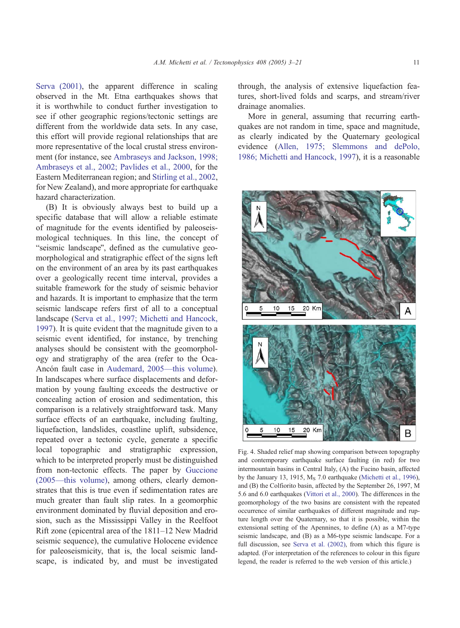<span id="page-8-0"></span>Serva (2001), the apparent difference in scaling observed in the Mt. Etna earthquakes shows that it is worthwhile to conduct further investigation to see if other geographic regions/tectonic settings are different from the worldwide data sets. In any case, this effort will provide regional relationships that are more representative of the local crustal stress environment (for instance, see [Ambraseys and Jackson, 1998;](#page-15-0) Ambraseys et al., 2002; Pavlides et al., 2000, for the Eastern Mediterranean region; and [Stirling et al., 2002,](#page-18-0) for New Zealand), and more appropriate for earthquake hazard characterization.

(B) It is obviously always best to build up a specific database that will allow a reliable estimate of magnitude for the events identified by paleoseismological techniques. In this line, the concept of "seismic landscape", defined as the cumulative geomorphological and stratigraphic effect of the signs left on the environment of an area by its past earthquakes over a geologically recent time interval, provides a suitable framework for the study of seismic behavior and hazards. It is important to emphasize that the term seismic landscape refers first of all to a conceptual landscape [\(Serva et al., 1997; Michetti and Hancock,](#page-17-0) 1997). It is quite evident that the magnitude given to a seismic event identified, for instance, by trenching analyses should be consistent with the geomorphology and stratigraphy of the area (refer to the Oca-Ancón fault case in [Audemard, 2005—this volume\)](#page-15-0). In landscapes where surface displacements and deformation by young faulting exceeds the destructive or concealing action of erosion and sedimentation, this comparison is a relatively straightforward task. Many surface effects of an earthquake, including faulting, liquefaction, landslides, coastline uplift, subsidence, repeated over a tectonic cycle, generate a specific local topographic and stratigraphic expression, which to be interpreted properly must be distinguished from non-tectonic effects. The paper by [Guccione](#page-16-0) (2005—this volume), among others, clearly demonstrates that this is true even if sedimentation rates are much greater than fault slip rates. In a geomorphic environment dominated by fluvial deposition and erosion, such as the Mississippi Valley in the Reelfoot Rift zone (epicentral area of the 1811–12 New Madrid seismic sequence), the cumulative Holocene evidence for paleoseismicity, that is, the local seismic landscape, is indicated by, and must be investigated through, the analysis of extensive liquefaction features, short-lived folds and scarps, and stream/river drainage anomalies.

More in general, assuming that recurring earthquakes are not random in time, space and magnitude, as clearly indicated by the Quaternary geological evidence ([Allen, 1975; Slemmons and dePolo,](#page-15-0) 1986; Michetti and Hancock, 1997), it is a reasonable



Fig. 4. Shaded relief map showing comparison between topography and contemporary earthquake surface faulting (in red) for two intermountain basins in Central Italy, (A) the Fucino basin, affected by the January 13, 1915,  $M<sub>S</sub>$  7.0 earthquake ([Michetti et al., 1996\)](#page-16-0), and (B) the Colfiorito basin, affected by the September 26, 1997, M 5.6 and 6.0 earthquakes ([Vittori et al., 2000\)](#page-18-0). The differences in the geomorphology of the two basins are consistent with the repeated occurrence of similar earthquakes of different magnitude and rupture length over the Quaternary, so that it is possible, within the extensional setting of the Apennines, to define (A) as a M7-type seismic landscape, and (B) as a M6-type seismic landscape. For a full discussion, see [Serva et al. \(2002\),](#page-17-0) from which this figure is adapted. (For interpretation of the references to colour in this figure legend, the reader is referred to the web version of this article.)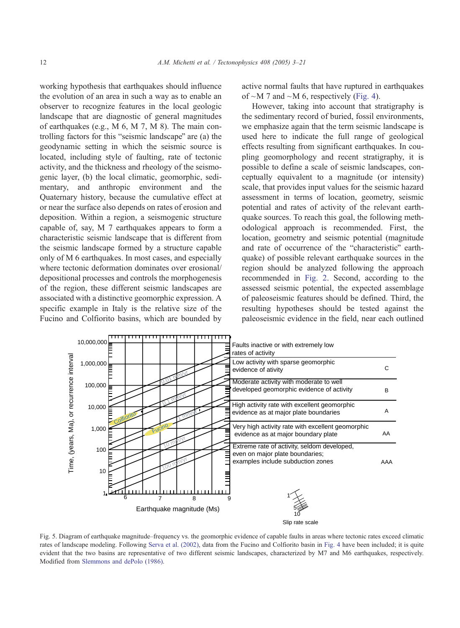<span id="page-9-0"></span>working hypothesis that earthquakes should influence the evolution of an area in such a way as to enable an observer to recognize features in the local geologic landscape that are diagnostic of general magnitudes of earthquakes (e.g., M 6, M 7, M 8). The main controlling factors for this "seismic landscape" are (a) the geodynamic setting in which the seismic source is located, including style of faulting, rate of tectonic activity, and the thickness and rheology of the seismogenic layer, (b) the local climatic, geomorphic, sedimentary, and anthropic environment and the Quaternary history, because the cumulative effect at or near the surface also depends on rates of erosion and deposition. Within a region, a seismogenic structure capable of, say, M 7 earthquakes appears to form a characteristic seismic landscape that is different from the seismic landscape formed by a structure capable only of M 6 earthquakes. In most cases, and especially where tectonic deformation dominates over erosional/ depositional processes and controls the morphogenesis of the region, these different seismic landscapes are associated with a distinctive geomorphic expression. A specific example in Italy is the relative size of the Fucino and Colfiorito basins, which are bounded by active normal faults that have ruptured in earthquakes of  $\sim$ M 7 and  $\sim$ M 6, respectively ([Fig. 4\)](#page-8-0).

However, taking into account that stratigraphy is the sedimentary record of buried, fossil environments, we emphasize again that the term seismic landscape is used here to indicate the full range of geological effects resulting from significant earthquakes. In coupling geomorphology and recent stratigraphy, it is possible to define a scale of seismic landscapes, conceptually equivalent to a magnitude (or intensity) scale, that provides input values for the seismic hazard assessment in terms of location, geometry, seismic potential and rates of activity of the relevant earthquake sources. To reach this goal, the following methodological approach is recommended. First, the location, geometry and seismic potential (magnitude and rate of occurrence of the "characteristic" earthquake) of possible relevant earthquake sources in the region should be analyzed following the approach recommended in [Fig. 2.](#page-6-0) Second, according to the assessed seismic potential, the expected assemblage of paleoseismic features should be defined. Third, the resulting hypotheses should be tested against the paleoseismic evidence in the field, near each outlined



Fig. 5. Diagram of earthquake magnitude–frequency vs. the geomorphic evidence of capable faults in areas where tectonic rates exceed climatic rates of landscape modeling. Following [Serva et al. \(2002\),](#page-17-0) data from the Fucino and Colfiorito basin in [Fig. 4](#page-8-0) have been included; it is quite evident that the two basins are representative of two different seismic landscapes, characterized by M7 and M6 earthquakes, respectively. Modified from [Slemmons and dePolo \(1986\).](#page-18-0)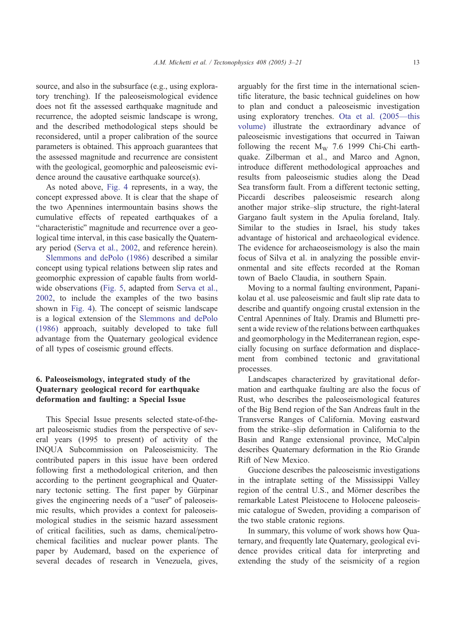source, and also in the subsurface (e.g., using exploratory trenching). If the paleoseismological evidence does not fit the assessed earthquake magnitude and recurrence, the adopted seismic landscape is wrong, and the described methodological steps should be reconsidered, until a proper calibration of the source parameters is obtained. This approach guarantees that the assessed magnitude and recurrence are consistent with the geological, geomorphic and paleoseismic evidence around the causative earthquake source(s).

As noted above, [Fig. 4](#page-8-0) represents, in a way, the concept expressed above. It is clear that the shape of the two Apennines intermountain basins shows the cumulative effects of repeated earthquakes of a "characteristic" magnitude and recurrence over a geological time interval, in this case basically the Quaternary period ([Serva et al., 2002,](#page-17-0) and reference herein).

[Slemmons and dePolo \(1986\)](#page-18-0) described a similar concept using typical relations between slip rates and geomorphic expression of capable faults from worldwide observations ([Fig. 5,](#page-9-0) adapted from [Serva et al.,](#page-17-0) 2002, to include the examples of the two basins shown in [Fig. 4\)](#page-8-0). The concept of seismic landscape is a logical extension of the [Slemmons and dePolo](#page-18-0) (1986) approach, suitably developed to take full advantage from the Quaternary geological evidence of all types of coseismic ground effects.

## 6. Paleoseismology, integrated study of the Quaternary geological record for earthquake deformation and faulting: a Special Issue

This Special Issue presents selected state-of-theart paleoseismic studies from the perspective of several years (1995 to present) of activity of the INQUA Subcommission on Paleoseismicity. The contributed papers in this issue have been ordered following first a methodological criterion, and then according to the pertinent geographical and Quaternary tectonic setting. The first paper by Gürpinar gives the engineering needs of a "user" of paleoseismic results, which provides a context for paleoseismological studies in the seismic hazard assessment of critical facilities, such as dams, chemical/petrochemical facilities and nuclear power plants. The paper by Audemard, based on the experience of several decades of research in Venezuela, gives,

arguably for the first time in the international scientific literature, the basic technical guidelines on how to plan and conduct a paleoseismic investigation using exploratory trenches. [Ota et al. \(2005—this](#page-17-0) volume) illustrate the extraordinary advance of paleoseismic investigations that occurred in Taiwan following the recent  $M_W$  7.6 1999 Chi-Chi earthquake. Zilberman et al., and Marco and Agnon, introduce different methodological approaches and results from paleoseismic studies along the Dead Sea transform fault. From a different tectonic setting, Piccardi describes paleoseismic research along another major strike–slip structure, the right-lateral Gargano fault system in the Apulia foreland, Italy. Similar to the studies in Israel, his study takes advantage of historical and archaeological evidence. The evidence for archaeoseismology is also the main focus of Silva et al. in analyzing the possible environmental and site effects recorded at the Roman town of Baelo Claudia, in southern Spain.

Moving to a normal faulting environment, Papanikolau et al. use paleoseismic and fault slip rate data to describe and quantify ongoing crustal extension in the Central Apennines of Italy. Dramis and Blumetti present a wide review of the relations between earthquakes and geomorphology in the Mediterranean region, especially focusing on surface deformation and displacement from combined tectonic and gravitational processes.

Landscapes characterized by gravitational deformation and earthquake faulting are also the focus of Rust, who describes the paleoseismological features of the Big Bend region of the San Andreas fault in the Transverse Ranges of California. Moving eastward from the strike–slip deformation in California to the Basin and Range extensional province, McCalpin describes Quaternary deformation in the Rio Grande Rift of New Mexico.

Guccione describes the paleoseismic investigations in the intraplate setting of the Mississippi Valley region of the central U.S., and Mörner describes the remarkable Latest Pleistocene to Holocene paleoseismic catalogue of Sweden, providing a comparison of the two stable cratonic regions.

In summary, this volume of work shows how Quaternary, and frequently late Quaternary, geological evidence provides critical data for interpreting and extending the study of the seismicity of a region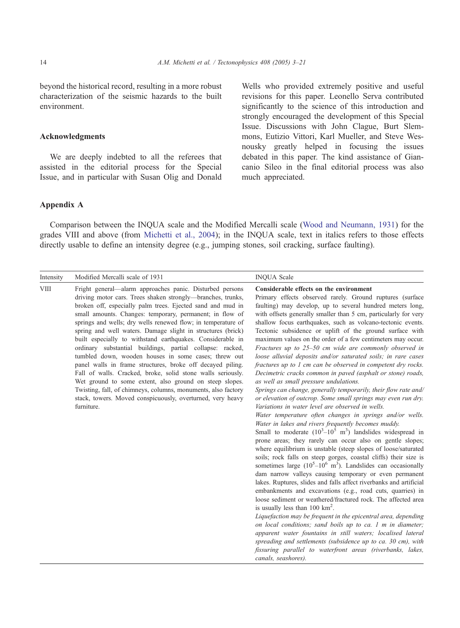#### Acknowledgments

Appendix A

We are deeply indebted to all the referees that assisted in the editorial process for the Special Issue, and in particular with Susan Olig and Donald Wells who provided extremely positive and useful revisions for this paper. Leonello Serva contributed significantly to the science of this introduction and strongly encouraged the development of this Special Issue. Discussions with John Clague, Burt Slemmons, Eutizio Vittori, Karl Mueller, and Steve Wesnousky greatly helped in focusing the issues debated in this paper. The kind assistance of Giancanio Sileo in the final editorial process was also much appreciated.

Comparison between the INQUA scale and the Modified Mercalli scale ([Wood and Neumann, 1931\)](#page-18-0) for the grades VIII and above (from [Michetti et al., 2004\)](#page-16-0); in the INQUA scale, text in italics refers to those effects directly usable to define an intensity degree (e.g., jumping stones, soil cracking, surface faulting).

| Intensity   | Modified Mercalli scale of 1931                                                                                                                                                                                                                                                                                                                                                                                                                                                                                                                                                                                                                                                                                                                                                                                                                                                                          | <b>INQUA Scale</b>                                                                                                                                                                                                                                                                                                                                                                                                                                                                                                                                                                                                                                                                                                                                                                                                                                                                                                                                                                                                                                                                                                                                                                                                                                                                                                                                                                                                                                                                                                                                                                                                                                                                                                                                                                                                                                                                                                                                                                                                                                                  |
|-------------|----------------------------------------------------------------------------------------------------------------------------------------------------------------------------------------------------------------------------------------------------------------------------------------------------------------------------------------------------------------------------------------------------------------------------------------------------------------------------------------------------------------------------------------------------------------------------------------------------------------------------------------------------------------------------------------------------------------------------------------------------------------------------------------------------------------------------------------------------------------------------------------------------------|---------------------------------------------------------------------------------------------------------------------------------------------------------------------------------------------------------------------------------------------------------------------------------------------------------------------------------------------------------------------------------------------------------------------------------------------------------------------------------------------------------------------------------------------------------------------------------------------------------------------------------------------------------------------------------------------------------------------------------------------------------------------------------------------------------------------------------------------------------------------------------------------------------------------------------------------------------------------------------------------------------------------------------------------------------------------------------------------------------------------------------------------------------------------------------------------------------------------------------------------------------------------------------------------------------------------------------------------------------------------------------------------------------------------------------------------------------------------------------------------------------------------------------------------------------------------------------------------------------------------------------------------------------------------------------------------------------------------------------------------------------------------------------------------------------------------------------------------------------------------------------------------------------------------------------------------------------------------------------------------------------------------------------------------------------------------|
| <b>VIII</b> | Fright general—alarm approaches panic. Disturbed persons<br>driving motor cars. Trees shaken strongly—branches, trunks,<br>broken off, especially palm trees. Ejected sand and mud in<br>small amounts. Changes: temporary, permanent; in flow of<br>springs and wells; dry wells renewed flow; in temperature of<br>spring and well waters. Damage slight in structures (brick)<br>built especially to withstand earthquakes. Considerable in<br>ordinary substantial buildings, partial collapse: racked,<br>tumbled down, wooden houses in some cases; threw out<br>panel walls in frame structures, broke off decayed piling.<br>Fall of walls. Cracked, broke, solid stone walls seriously.<br>Wet ground to some extent, also ground on steep slopes.<br>Twisting, fall, of chimneys, columns, monuments, also factory<br>stack, towers. Moved conspicuously, overturned, very heavy<br>furniture. | Considerable effects on the environment<br>Primary effects observed rarely. Ground ruptures (surface<br>faulting) may develop, up to several hundred meters long,<br>with offsets generally smaller than 5 cm, particularly for very<br>shallow focus earthquakes, such as volcano-tectonic events.<br>Tectonic subsidence or uplift of the ground surface with<br>maximum values on the order of a few centimeters may occur.<br>Fractures up to 25-50 cm wide are commonly observed in<br>loose alluvial deposits and/or saturated soils; in rare cases<br>fractures up to 1 cm can be observed in competent dry rocks.<br>Decimetric cracks common in paved (asphalt or stone) roads,<br>as well as small pressure undulations.<br>Springs can change, generally temporarily, their flow rate and/<br>or elevation of outcrop. Some small springs may even run dry.<br>Variations in water level are observed in wells.<br>Water temperature often changes in springs and/or wells.<br>Water in lakes and rivers frequently becomes muddy.<br>Small to moderate $(10^3-10^5 \text{ m}^3)$ landslides widespread in<br>prone areas; they rarely can occur also on gentle slopes;<br>where equilibrium is unstable (steep slopes of loose/saturated<br>soils; rock falls on steep gorges, coastal cliffs) their size is<br>sometimes large $(10^5-10^6 \text{ m}^3)$ . Landslides can occasionally<br>dam narrow valleys causing temporary or even permanent<br>lakes. Ruptures, slides and falls affect riverbanks and artificial<br>embankments and excavations (e.g., road cuts, quarries) in<br>loose sediment or weathered/fractured rock. The affected area<br>is usually less than $100 \text{ km}^2$ .<br>Liquefaction may be frequent in the epicentral area, depending<br>on local conditions; sand boils up to ca. 1 m in diameter;<br>apparent water fountains in still waters; localised lateral<br>spreading and settlements (subsidence up to ca. 30 cm), with<br>fissuring parallel to waterfront areas (riverbanks, lakes,<br>canals, seashores). |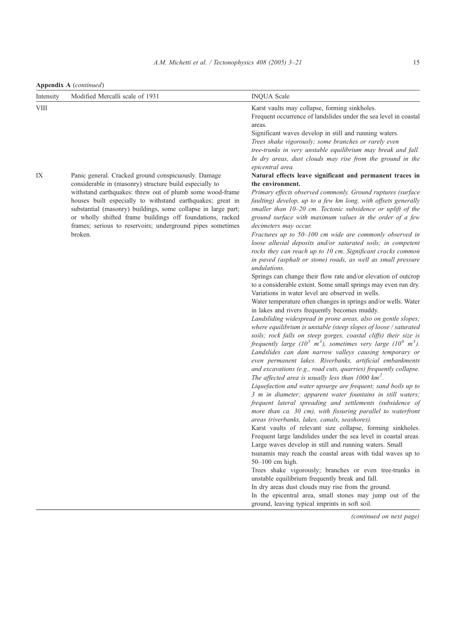Appendix A (continued)

| Intensity   | Modified Mercalli scale of 1931                                                                                                                                                                                                                                                                                                                                                                                                                  | <b>INQUA Scale</b>                                                                                                                                                                                                                                                                                                                                                                                                                                                                                                                                                                                                                                                                                                                                                                                                                                                                                                                                                                                                                                                                                                                                                                                                                                                                                                                                                                                                                                                                                                                                                                                                                                                                                                                                                                                                                                                                                                                                                                                                                                                                                                                                                                                                                                                                                                                                                                                                     |
|-------------|--------------------------------------------------------------------------------------------------------------------------------------------------------------------------------------------------------------------------------------------------------------------------------------------------------------------------------------------------------------------------------------------------------------------------------------------------|------------------------------------------------------------------------------------------------------------------------------------------------------------------------------------------------------------------------------------------------------------------------------------------------------------------------------------------------------------------------------------------------------------------------------------------------------------------------------------------------------------------------------------------------------------------------------------------------------------------------------------------------------------------------------------------------------------------------------------------------------------------------------------------------------------------------------------------------------------------------------------------------------------------------------------------------------------------------------------------------------------------------------------------------------------------------------------------------------------------------------------------------------------------------------------------------------------------------------------------------------------------------------------------------------------------------------------------------------------------------------------------------------------------------------------------------------------------------------------------------------------------------------------------------------------------------------------------------------------------------------------------------------------------------------------------------------------------------------------------------------------------------------------------------------------------------------------------------------------------------------------------------------------------------------------------------------------------------------------------------------------------------------------------------------------------------------------------------------------------------------------------------------------------------------------------------------------------------------------------------------------------------------------------------------------------------------------------------------------------------------------------------------------------------|
| <b>VIII</b> |                                                                                                                                                                                                                                                                                                                                                                                                                                                  | Karst vaults may collapse, forming sinkholes.<br>Frequent occurrence of landslides under the sea level in coastal<br>areas.<br>Significant waves develop in still and running waters.<br>Trees shake vigorously; some branches or rarely even<br>tree-trunks in very unstable equilibrium may break and fall.<br>In dry areas, dust clouds may rise from the ground in the<br>epicentral area.                                                                                                                                                                                                                                                                                                                                                                                                                                                                                                                                                                                                                                                                                                                                                                                                                                                                                                                                                                                                                                                                                                                                                                                                                                                                                                                                                                                                                                                                                                                                                                                                                                                                                                                                                                                                                                                                                                                                                                                                                         |
| IX          | Panic general. Cracked ground conspicuously. Damage<br>considerable in (masonry) structure build especially to<br>withstand earthquakes: threw out of plumb some wood-frame<br>houses built especially to withstand earthquakes; great in<br>substantial (masonry) buildings, some collapse in large part;<br>or wholly shifted frame buildings off foundations, racked<br>frames; serious to reservoirs; underground pipes sometimes<br>broken. | Natural effects leave significant and permanent traces in<br>the environment.<br>Primary effects observed commonly. Ground ruptures (surface<br>faulting) develop, up to a few km long, with offsets generally<br>smaller than 10-20 cm. Tectonic subsidence or uplift of the<br>ground surface with maximum values in the order of a few<br>decimeters may occur.<br>Fractures up to 50–100 cm wide are commonly observed in<br>loose alluvial deposits and/or saturated soils; in competent<br>rocks they can reach up to 10 cm. Significant cracks common<br>in paved (asphalt or stone) roads, as well as small pressure<br>undulations.<br>Springs can change their flow rate and/or elevation of outcrop<br>to a considerable extent. Some small springs may even run dry.<br>Variations in water level are observed in wells.<br>Water temperature often changes in springs and/or wells. Water<br>in lakes and rivers frequently becomes muddy.<br>Landsliding widespread in prone areas, also on gentle slopes;<br>where equilibrium is unstable (steep slopes of loose / saturated<br>soils; rock falls on steep gorges, coastal cliffs) their size is<br>frequently large (10 <sup>5</sup> m <sup>3</sup> ), sometimes very large (10 <sup>6</sup> m <sup>3</sup> ).<br>Landslides can dam narrow valleys causing temporary or<br>even permanent lakes. Riverbanks, artificial embankments<br>and excavations (e.g., road cuts, quarries) frequently collapse.<br>The affected area is usually less than $1000 \text{ km}^2$ .<br>Liquefaction and water upsurge are frequent; sand boils up to<br>3 m in diameter; apparent water fountains in still waters;<br>frequent lateral spreading and settlements (subsidence of<br>more than ca. 30 cm), with fissuring parallel to waterfront<br>areas (riverbanks, lakes, canals, seashores).<br>Karst vaults of relevant size collapse, forming sinkholes.<br>Frequent large landslides under the sea level in coastal areas.<br>Large waves develop in still and running waters. Small<br>tsunamis may reach the coastal areas with tidal waves up to<br>$50-100$ cm high.<br>Trees shake vigorously; branches or even tree-trunks in<br>unstable equilibrium frequently break and fall.<br>In dry areas dust clouds may rise from the ground.<br>In the epicentral area, small stones may jump out of the<br>ground, leaving typical imprints in soft soil. |
|             |                                                                                                                                                                                                                                                                                                                                                                                                                                                  | (continued on next page)                                                                                                                                                                                                                                                                                                                                                                                                                                                                                                                                                                                                                                                                                                                                                                                                                                                                                                                                                                                                                                                                                                                                                                                                                                                                                                                                                                                                                                                                                                                                                                                                                                                                                                                                                                                                                                                                                                                                                                                                                                                                                                                                                                                                                                                                                                                                                                                               |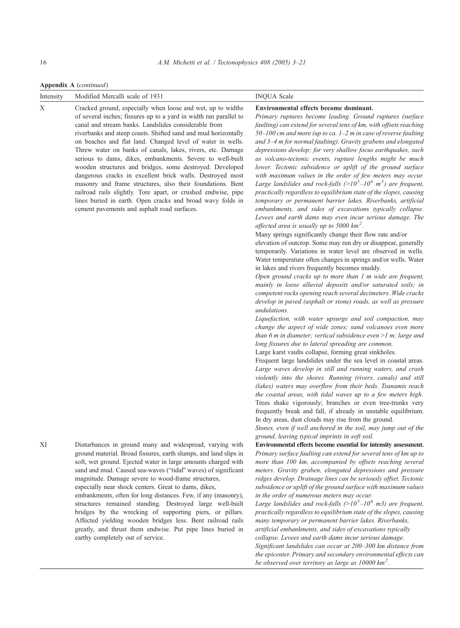Appendix A (continued)

| Intensity | Modified Mercalli scale of 1931                                                                                                                                                                                                                                                                                                                                                                                                                                                                                                                                                                                                                                                                                                                                                                                          | <b>INQUA Scale</b>                                                                                                                                                                                                                                                                                                                                                                                                                                                                                                                                                                                                                                                                                                                                                                                                                                                                                                                                                                                                                                                                                                                                                                                                                                                                                                                                                                                                                                                                                                                                                                                                                                                                                                                                                                                                                                                                                                                                                                                                                                                                                                                                                                                                                                                                                                                                                                                                                                                            |
|-----------|--------------------------------------------------------------------------------------------------------------------------------------------------------------------------------------------------------------------------------------------------------------------------------------------------------------------------------------------------------------------------------------------------------------------------------------------------------------------------------------------------------------------------------------------------------------------------------------------------------------------------------------------------------------------------------------------------------------------------------------------------------------------------------------------------------------------------|-------------------------------------------------------------------------------------------------------------------------------------------------------------------------------------------------------------------------------------------------------------------------------------------------------------------------------------------------------------------------------------------------------------------------------------------------------------------------------------------------------------------------------------------------------------------------------------------------------------------------------------------------------------------------------------------------------------------------------------------------------------------------------------------------------------------------------------------------------------------------------------------------------------------------------------------------------------------------------------------------------------------------------------------------------------------------------------------------------------------------------------------------------------------------------------------------------------------------------------------------------------------------------------------------------------------------------------------------------------------------------------------------------------------------------------------------------------------------------------------------------------------------------------------------------------------------------------------------------------------------------------------------------------------------------------------------------------------------------------------------------------------------------------------------------------------------------------------------------------------------------------------------------------------------------------------------------------------------------------------------------------------------------------------------------------------------------------------------------------------------------------------------------------------------------------------------------------------------------------------------------------------------------------------------------------------------------------------------------------------------------------------------------------------------------------------------------------------------------|
| Χ         | Cracked ground, especially when loose and wet, up to widths<br>of several inches; fissures up to a yard in width ran parallel to<br>canal and stream banks. Landslides considerable from<br>riverbanks and steep coasts. Shifted sand and mud horizontally<br>on beaches and flat land. Changed level of water in wells.<br>Threw water on banks of canals, lakes, rivers, etc. Damage<br>serious to dams, dikes, embankments. Severe to well-built<br>wooden structures and bridges, some destroyed. Developed<br>dangerous cracks in excellent brick walls. Destroyed most<br>masonry and frame structures, also their foundations. Bent<br>railroad rails slightly. Tore apart, or crushed endwise, pipe<br>lines buried in earth. Open cracks and broad wavy folds in<br>cement pavements and asphalt road surfaces. | Environmental effects become dominant.<br>Primary ruptures become leading. Ground ruptures (surface<br>faulting) can extend for several tens of km, with offsets reaching<br>50-100 cm and more (up to ca. 1-2 m in case of reverse faulting<br>and 3-4 m for normal faulting). Gravity grabens and elongated<br>depressions develop; for very shallow focus earthquakes, such<br>as volcano-tectonic events, rupture lengths might be much<br>lower. Tectonic subsidence or uplift of the ground surface<br>with maximum values in the order of few meters may occur.<br>Large landslides and rock-falls $(>10^5-10^6 \text{ m}^3)$ are frequent,<br>practically regardless to equilibrium state of the slopes, causing<br>temporary or permanent barrier lakes. Riverbanks, artificial<br>embankments, and sides of excavations typically collapse.<br>Levees and earth dams may even incur serious damage. The<br>affected area is usually up to 5000 $km^2$ .<br>Many springs significantly change their flow rate and/or<br>elevation of outcrop. Some may run dry or disappear, generally<br>temporarily. Variations in water level are observed in wells.<br>Water temperature often changes in springs and/or wells. Water<br>in lakes and rivers frequently becomes muddy.<br>Open ground cracks up to more than $1$ m wide are frequent,<br>mainly in loose alluvial deposits and/or saturated soils; in<br>competent rocks opening reach several decimeters. Wide cracks<br>develop in paved (asphalt or stone) roads, as well as pressure<br>undulations.<br>Liquefaction, with water upsurge and soil compaction, may<br>change the aspect of wide zones; sand volcanoes even more<br>than $6$ m in diameter; vertical subsidence even $>1$ m; large and<br>long fissures due to lateral spreading are common.<br>Large karst vaults collapse, forming great sinkholes.<br>Frequent large landslides under the sea level in coastal areas.<br>Large waves develop in still and running waters, and crash<br>violently into the shores. Running (rivers, canals) and still<br>(lakes) waters may overflow from their beds. Tsunamis reach<br>the coastal areas, with tidal waves up to a few meters high.<br>Trees shake vigorously; branches or even tree-trunks very<br>frequently break and fall, if already in unstable equilibrium.<br>In dry areas, dust clouds may rise from the ground.<br>Stones, even if well anchored in the soil, may jump out of the |
| ΧI        | Disturbances in ground many and widespread, varying with<br>ground material. Broad fissures, earth slumps, and land slips in<br>soft, wet ground. Ejected water in large amounts charged with<br>sand and mud. Caused sea-waves ("tidal" waves) of significant<br>magnitude. Damage severe to wood-frame structures,<br>especially near shock centers. Great to dams, dikes,<br>embankments, often for long distances. Few, if any (masonry),<br>structures remained standing. Destroyed large well-built<br>bridges by the wrecking of supporting piers, or pillars.<br>Affected yielding wooden bridges less. Bent railroad rails<br>greatly, and thrust them endwise. Put pipe lines buried in<br>earthy completely out of service.                                                                                   | ground, leaving typical imprints in soft soil.<br>Environmental effects become essential for intensity assessment.<br>Primary surface faulting can extend for several tens of km up to<br>more than 100 km, accompanied by offsets reaching several<br>meters. Gravity graben, elongated depressions and pressure<br>ridges develop. Drainage lines can be seriously offset. Tectonic<br>subsidence or uplift of the ground surface with maximum values<br>in the order of numerous meters may occur.<br>Large landslides and rock-falls ( $>10^5$ -10 <sup>6</sup> m3) are frequent,<br>practically regardless to equilibrium state of the slopes, causing<br>many temporary or permanent barrier lakes. Riverbanks,<br>artificial embankments, and sides of excavations typically<br>collapse. Levees and earth dams incur serious damage.<br>Significant landslides can occur at 200-300 km distance from<br>the epicenter. Primary and secondary environmental effects can<br>be observed over territory as large as $10000 \text{ km}^2$ .                                                                                                                                                                                                                                                                                                                                                                                                                                                                                                                                                                                                                                                                                                                                                                                                                                                                                                                                                                                                                                                                                                                                                                                                                                                                                                                                                                                                                               |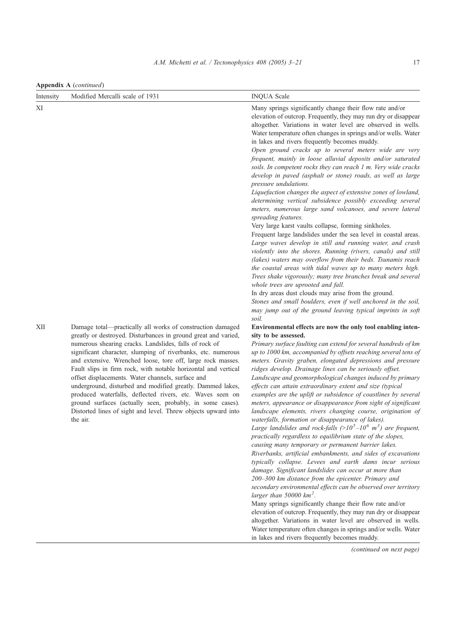Appendix A (continued)

| Intensity | Modified Mercalli scale of 1931                                                                                                                                                                                                                                                                                                                                                                                                                                                                                                                                                                                                                                                                                   | <b>INQUA</b> Scale                                                                                                                                                                                                                                                                                                                                                                                                                                                                                                                                                                                                                                                                                                                                                                                                                                                                                                                                                                                                                                                                                                                                                                                                                                                          |
|-----------|-------------------------------------------------------------------------------------------------------------------------------------------------------------------------------------------------------------------------------------------------------------------------------------------------------------------------------------------------------------------------------------------------------------------------------------------------------------------------------------------------------------------------------------------------------------------------------------------------------------------------------------------------------------------------------------------------------------------|-----------------------------------------------------------------------------------------------------------------------------------------------------------------------------------------------------------------------------------------------------------------------------------------------------------------------------------------------------------------------------------------------------------------------------------------------------------------------------------------------------------------------------------------------------------------------------------------------------------------------------------------------------------------------------------------------------------------------------------------------------------------------------------------------------------------------------------------------------------------------------------------------------------------------------------------------------------------------------------------------------------------------------------------------------------------------------------------------------------------------------------------------------------------------------------------------------------------------------------------------------------------------------|
| ΧI        |                                                                                                                                                                                                                                                                                                                                                                                                                                                                                                                                                                                                                                                                                                                   | Many springs significantly change their flow rate and/or<br>elevation of outcrop. Frequently, they may run dry or disappear<br>altogether. Variations in water level are observed in wells.<br>Water temperature often changes in springs and/or wells. Water<br>in lakes and rivers frequently becomes muddy.                                                                                                                                                                                                                                                                                                                                                                                                                                                                                                                                                                                                                                                                                                                                                                                                                                                                                                                                                              |
|           |                                                                                                                                                                                                                                                                                                                                                                                                                                                                                                                                                                                                                                                                                                                   | Open ground cracks up to several meters wide are very<br>frequent, mainly in loose alluvial deposits and/or saturated<br>soils. In competent rocks they can reach 1 m. Very wide cracks<br>develop in paved (asphalt or stone) roads, as well as large<br>pressure undulations.<br>Liquefaction changes the aspect of extensive zones of lowland,<br>determining vertical subsidence possibly exceeding several                                                                                                                                                                                                                                                                                                                                                                                                                                                                                                                                                                                                                                                                                                                                                                                                                                                             |
|           |                                                                                                                                                                                                                                                                                                                                                                                                                                                                                                                                                                                                                                                                                                                   | meters, numerous large sand volcanoes, and severe lateral<br>spreading features.<br>Very large karst vaults collapse, forming sinkholes.<br>Frequent large landslides under the sea level in coastal areas.<br>Large waves develop in still and running water, and crash<br>violently into the shores. Running (rivers, canals) and still<br>(lakes) waters may overflow from their beds. Tsunamis reach<br>the coastal areas with tidal waves up to many meters high.<br>Trees shake vigorously; many tree branches break and several<br>whole trees are uprooted and fall.<br>In dry areas dust clouds may arise from the ground.                                                                                                                                                                                                                                                                                                                                                                                                                                                                                                                                                                                                                                         |
|           |                                                                                                                                                                                                                                                                                                                                                                                                                                                                                                                                                                                                                                                                                                                   | Stones and small boulders, even if well anchored in the soil,<br>may jump out of the ground leaving typical imprints in soft<br>soil.                                                                                                                                                                                                                                                                                                                                                                                                                                                                                                                                                                                                                                                                                                                                                                                                                                                                                                                                                                                                                                                                                                                                       |
| XII       | Damage total—practically all works of construction damaged<br>greatly or destroyed. Disturbances in ground great and varied,<br>numerous shearing cracks. Landslides, falls of rock of<br>significant character, slumping of riverbanks, etc. numerous<br>and extensive. Wrenched loose, tore off, large rock masses.<br>Fault slips in firm rock, with notable horizontal and vertical<br>offset displacements. Water channels, surface and<br>underground, disturbed and modified greatly. Dammed lakes,<br>produced waterfalls, deflected rivers, etc. Waves seen on<br>ground surfaces (actually seen, probably, in some cases).<br>Distorted lines of sight and level. Threw objects upward into<br>the air. | Environmental effects are now the only tool enabling inten-<br>sity to be assessed.<br>Primary surface faulting can extend for several hundreds of km<br>up to 1000 km, accompanied by offsets reaching several tens of<br>meters. Gravity graben, elongated depressions and pressure<br>ridges develop. Drainage lines can be seriously offset.<br>Landscape and geomorphological changes induced by primary<br>effects can attain extraordinary extent and size (typical<br>examples are the uplift or subsidence of coastlines by several<br>meters, appearance or disappearance from sight of significant<br>landscape elements, rivers changing course, origination of<br>waterfalls, formation or disappearance of lakes).<br>Large landslides and rock-falls $(>10^5-10^6 \text{ m}^3)$ are frequent,<br>practically regardless to equilibrium state of the slopes,<br>causing many temporary or permanent barrier lakes.<br>Riverbanks, artificial embankments, and sides of excavations<br>typically collapse. Levees and earth dams incur serious<br>damage. Significant landslides can occur at more than<br>200-300 km distance from the epicenter. Primary and<br>secondary environmental effects can be observed over territory<br>larger than 50000 $km^2$ . |
|           |                                                                                                                                                                                                                                                                                                                                                                                                                                                                                                                                                                                                                                                                                                                   | Many springs significantly change their flow rate and/or<br>elevation of outcrop. Frequently, they may run dry or disappear<br>altogether. Variations in water level are observed in wells.<br>Water temperature often changes in springs and/or wells. Water<br>in lakes and rivers frequently becomes muddy.                                                                                                                                                                                                                                                                                                                                                                                                                                                                                                                                                                                                                                                                                                                                                                                                                                                                                                                                                              |

(continued on next page)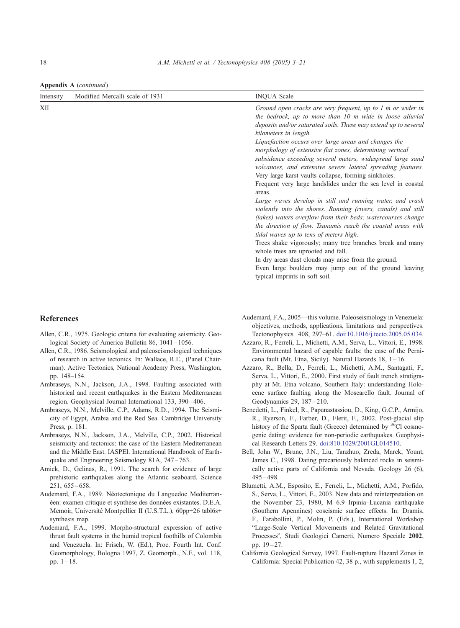<span id="page-15-0"></span>Appendix A (continued)

| Intensity | Modified Mercalli scale of 1931 | <b>INOUA Scale</b>                                                                                                                                                                                                                                                                                                                                                                                                                                                                                                                                                                                                                                                                                                                                                                                                                                                                                                                                                                                                                                                          |
|-----------|---------------------------------|-----------------------------------------------------------------------------------------------------------------------------------------------------------------------------------------------------------------------------------------------------------------------------------------------------------------------------------------------------------------------------------------------------------------------------------------------------------------------------------------------------------------------------------------------------------------------------------------------------------------------------------------------------------------------------------------------------------------------------------------------------------------------------------------------------------------------------------------------------------------------------------------------------------------------------------------------------------------------------------------------------------------------------------------------------------------------------|
| XII       |                                 | Ground open cracks are very frequent, up to $1$ m or wider in<br>the bedrock, up to more than 10 m wide in loose alluvial<br>deposits and/or saturated soils. These may extend up to several<br>kilometers in length.<br>Liquefaction occurs over large areas and changes the<br>morphology of extensive flat zones, determining vertical<br>subsidence exceeding several meters, widespread large sand<br>volcanoes, and extensive severe lateral spreading features.<br>Very large karst vaults collapse, forming sinkholes.<br>Frequent very large landslides under the sea level in coastal<br>areas.<br>Large waves develop in still and running water, and crash<br>violently into the shores. Running (rivers, canals) and still<br>(lakes) waters overflow from their beds; watercourses change<br>the direction of flow. Tsunamis reach the coastal areas with<br>tidal waves up to tens of meters high.<br>Trees shake vigorously; many tree branches break and many<br>whole trees are uprooted and fall.<br>In dry areas dust clouds may arise from the ground. |
|           |                                 | Even large boulders may jump out of the ground leaving<br>typical imprints in soft soil.                                                                                                                                                                                                                                                                                                                                                                                                                                                                                                                                                                                                                                                                                                                                                                                                                                                                                                                                                                                    |

#### References

- Allen, C.R., 1975. Geologic criteria for evaluating seismicity. Geological Society of America Bulletin 86, 1041-1056.
- Allen, C.R., 1986. Seismological and paleoseismological techniques of research in active tectonics. In: Wallace, R.E., (Panel Chairman). Active Tectonics, National Academy Press, Washington, pp. 148–154.
- Ambraseys, N.N., Jackson, J.A., 1998. Faulting associated with historical and recent earthquakes in the Eastern Mediterranean region. Geophysical Journal International 133, 390 – 406.
- Ambraseys, N.N., Melville, C.P., Adams, R.D., 1994. The Seismicity of Egypt, Arabia and the Red Sea. Cambridge University Press, p. 181.
- Ambraseys, N.N., Jackson, J.A., Melville, C.P., 2002. Historical seismicity and tectonics: the case of the Eastern Mediterranean and the Middle East. IASPEI. International Handbook of Earthquake and Engineering Seismology 81A, 747 – 763.
- Amick, D., Gelinas, R., 1991. The search for evidence of large prehistoric earthquakes along the Atlantic seaboard. Science 251, 655 – 658.
- Audemard, F.A., 1989. Néotectonique du Languedoc Mediterranéen: examen critique et synthèse des données existantes. D.E.A. Memoir, Université Montpellier II (U.S.T.L.), 60pp+26 tabl6s+ synthesis map.
- Audemard, F.A., 1999. Morpho-structural expression of active thrust fault systems in the humid tropical foothills of Colombia and Venezuela. In: Frisch, W. (Ed.), Proc. Fourth Int. Conf. Geomorphology, Bologna 1997, Z. Geomorph., N.F., vol. 118, pp.  $1 - 18$ .
- Audemard, F.A., 2005—this volume. Paleoseismology in Venezuela: objectives, methods, applications, limitations and perspectives. Tectonophysics 408, 297–61. [doi:10.1016/j.tecto.2005.05.034](http://dx.doi.org/doi:10.1016/j.tecto.2005.05.034).
- Azzaro, R., Ferreli, L., Michetti, A.M., Serva, L., Vittori, E., 1998. Environmental hazard of capable faults: the case of the Pernicana fault (Mt. Etna, Sicily). Natural Hazards 18, 1 – 16.
- Azzaro, R., Bella, D., Ferreli, L., Michetti, A.M., Santagati, F., Serva, L., Vittori, E., 2000. First study of fault trench stratigraphy at Mt. Etna volcano, Southern Italy: understanding Holocene surface faulting along the Moscarello fault. Journal of Geodynamics 29, 187-210.
- Benedetti, L., Finkel, R., Papanastassiou, D., King, G.C.P., Armijo, R., Ryerson, F., Farber, D., Flerit, F., 2002. Post-glacial slip history of the Sparta fault (Greece) determined by  ${}^{36}$ Cl cosmogenic dating: evidence for non-periodic earthquakes. Geophysical Research Letters 29. doi:810.1029/2001GL014510.
- Bell, John W., Brune, J.N., Liu, Tanzhuo, Zreda, Marek, Yount, James C., 1998. Dating precariously balanced rocks in seismically active parts of California and Nevada. Geology 26 (6),  $495 - 498$ .
- Blumetti, A.M., Esposito, E., Ferreli, L., Michetti, A.M., Porfido, S., Serva, L., Vittori, E., 2003. New data and reinterpretation on the November 23, 1980, M 6.9 Irpinia–Lucania earthquake (Southern Apennines) coseismic surface effects. In: Dramis, F., Farabollini, P., Molin, P. (Eds.), International Workshop bLarge-Scale Vertical Movements and Related Gravitational Processes", Studi Geologici Camerti, Numero Speciale 2002, pp. 19 – 27.
- California Geological Survey, 1997. Fault-rupture Hazard Zones in California: Special Publication 42, 38 p., with supplements 1, 2,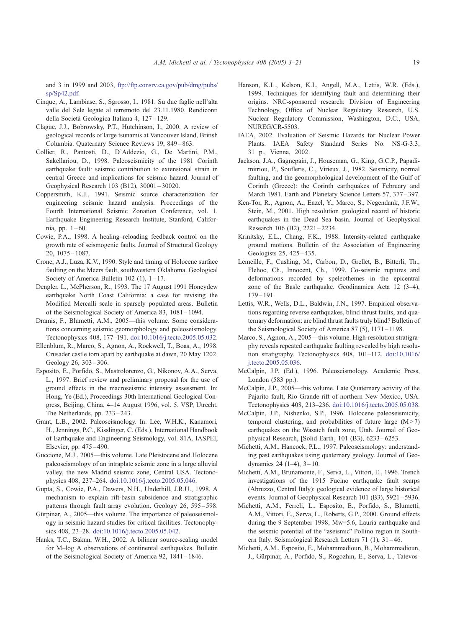<span id="page-16-0"></span>and 3 in 1999 and 2003, [ftp://ftp.consrv.ca.gov/pub/dmg/pubs/](ftp://ftp.consrv.ca.gov/pub/dmg/pubs/sp/Sp42.pdf) sp/Sp42.pdf.

- Cinque, A., Lambiase, S., Sgrosso, I., 1981. Su due faglie nell'alta valle del Sele legate al terremoto del 23.11.1980. Rendiconti della Società Geologica Italiana 4, 127-129.
- Clague, J.J., Bobrowsky, P.T., Hutchinson, I., 2000. A review of geological records of large tsunamis at Vancouver Island, British Columbia. Quaternary Science Reviews 19, 849 – 863.
- Collier, R., Pantosti, D., D'Addezio, G., De Martini, P.M., Sakellariou, D., 1998. Paleoseismicity of the 1981 Corinth earthquake fault: seismic contribution to extensional strain in central Greece and implications for seismic hazard. Journal of Geophysical Research 103 (B12), 30001 – 30020.
- Coppersmith, K.J., 1991. Seismic source characterization for engineering seismic hazard analysis. Proceedings of the Fourth International Seismic Zonation Conference, vol. 1. Earthquake Engineering Research Institute, Stanford, California, pp. 1 – 60.
- Cowie, P.A., 1998. A healing–reloading feedback control on the growth rate of seismogenic faults. Journal of Structural Geology 20, 1075 – 1087.
- Crone, A.J., Luza, K.V., 1990. Style and timing of Holocene surface faulting on the Meers fault, southwestern Oklahoma. Geological Society of America Bulletin  $102$  (1),  $1-17$ .
- Dengler, L., McPherson, R., 1993. The 17 August 1991 Honeydew earthquake North Coast California: a case for revising the Modified Mercalli scale in sparsely populated areas. Bulletin of the Seismological Society of America 83, 1081 – 1094.
- Dramis, F., Blumetti, A.M., 2005—this volume. Some considerations concerning seismic geomorphology and paleoseismology. Tectonophysics 408, 177–191. [doi:10.1016/j.tecto.2005.05.032.](http://dx.doi.org/doi:10.1016/j.tecto.2005.05.032)
- Ellenblum, R., Marco, S., Agnon, A., Rockwell, T., Boas, A., 1998. Crusader castle torn apart by earthquake at dawn, 20 May 1202. Geology 26, 303 – 306.
- Esposito, E., Porfido, S., Mastrolorenzo, G., Nikonov, A.A., Serva, L., 1997. Brief review and preliminary proposal for the use of ground effects in the macroseismic intensity assessment. In: Hong, Ye (Ed.), Proceedings 30th International Geological Congress, Beijing, China, 4–14 August 1996, vol. 5. VSP, Utrecht, The Netherlands, pp. 233-243.
- Grant, L.B., 2002. Paleoseismology. In: Lee, W.H.K., Kanamori, H., Jennings, P.C., Kisslinger, C. (Eds.), International Handbook of Earthquake and Engineering Seismology, vol. 81A. IASPEI, Elsevier, pp. 475 – 490.
- Guccione, M.J., 2005—this volume. Late Pleistocene and Holocene paleoseismology of an intraplate seismic zone in a large alluvial valley, the new Madrid seismic zone, Central USA. Tectonophysics 408, 237–264. [doi:10.1016/j.tecto.2005.05.046.](http://dx.doi.org/doi:10.1016/j.tecto.2005.05.046)
- Gupta, S., Cowie, P.A., Dawers, N.H., Underhill, J.R.U., 1998. A mechanism to explain rift-basin subsidence and stratigraphic patterns through fault array evolution. Geology 26, 595 – 598.
- Gürpinar, A., 2005—this volume. The importance of paleoseismology in seismic hazard studies for critical facilities. Tectonophysics 408, 23–28. [doi:10.1016/j.tecto.2005.05.042.](http://dx.doi.org/doi:10.1016/j.tecto.2005.05.042)
- Hanks, T.C., Bakun, W.H., 2002. A bilinear source-scaling model for M–log A observations of continental earthquakes. Bulletin of the Seismological Society of America 92, 1841 – 1846.
- Hanson, K.L., Kelson, K.I., Angell, M.A., Lettis, W.R. (Eds.), 1999. Techniques for identifying fault and determining their origins. NRC-sponsored research: Division of Engineering Technology, Office of Nuclear Regulatory Research, U.S. Nuclear Regulatory Commission, Washington, D.C., USA, NUREG/CR-5503.
- IAEA, 2002. Evaluation of Seismic Hazards for Nuclear Power Plants. IAEA Safety Standard Series No. NS-G-3.3, 31 p., Vienna, 2002.
- Jackson, J.A., Gagnepain, J., Houseman, G., King, G.C.P., Papadimitriou, P., Soufleris, C., Virieux, J., 1982. Seismicity, normal faulting, and the geomorphological development of the Gulf of Corinth (Greece): the Corinth earthquakes of February and March 1981. Earth and Planetary Science Letters 57, 377 – 397.
- Ken-Tor, R., Agnon, A., Enzel, Y., Marco, S., Negendank, J.F.W., Stein, M., 2001. High resolution geological record of historic earthquakes in the Dead Sea basin. Journal of Geophysical Research 106 (B2), 2221 – 2234.
- Krinitsky, E.L., Chang, F.K., 1988. Intensity-related earthquake ground motions. Bulletin of the Association of Engineering Geologists 25, 425-435.
- Lemeille, F., Cushing, M., Carbon, D., Grellet, B., Bitterli, Th., Flehoc, Ch., Innocent, Ch., 1999. Co-seismic ruptures and deformations recorded by speleothemes in the epicentral zone of the Basle earthquake. Geodinamica Acta 12 (3–4), 179 – 191.
- Lettis, W.R., Wells, D.L., Baldwin, J.N., 1997. Empirical observations regarding reverse earthquakes, blind thrust faults, and quaternary deformation: are blind thrust faults truly blind? Bulletin of the Seismological Society of America 87 (5), 1171 – 1198.
- Marco, S., Agnon, A., 2005—this volume. High-resolution stratigraphy reveals repeated earthquake faulting revealed by high resolution stratigraphy. Tectonophysics 408, 101–112. [doi:10.1016/](http://dx.doi.org/doi:10.1016/j.tecto.2005.05.036) j.tecto.2005.05.036.
- McCalpin, J.P. (Ed.), 1996. Paleoseismology. Academic Press, London (583 pp.).
- McCalpin, J.P., 2005—this volume. Late Quaternary activity of the Pajarito fault, Rio Grande rift of northern New Mexico, USA. Tectonophysics 408, 213–236. [doi:10.1016/j.tecto.2005.05.038.](http://dx.doi.org/doi:10.1016/j.tecto.2005.05.038)
- McCalpin, J.P., Nishenko, S.P., 1996. Holocene paleoseismicity, temporal clustering, and probabilities of future large  $(M>7)$ earthquakes on the Wasatch fault zone, Utah. Journal of Geophysical Research, [Solid Earth] 101 (B3), 6233 – 6253.
- Michetti, A.M., Hancock, P.L., 1997. Paleoseismology: understanding past earthquakes using quaternary geology. Journal of Geodynamics 24 (1-4),  $3 - 10$ .
- Michetti, A.M., Brunamonte, F., Serva, L., Vittori, E., 1996. Trench investigations of the 1915 Fucino earthquake fault scarps (Abruzzo, Central Italy): geological evidence of large historical events. Journal of Geophysical Research 101 (B3), 5921-5936.
- Michetti, A.M., Ferreli, L., Esposito, E., Porfido, S., Blumetti, A.M., Vittori, E., Serva, L., Roberts, G.P., 2000. Ground effects during the 9 September 1998, Mw=5.6, Lauria earthquake and the seismic potential of the "aseismic" Pollino region in Southern Italy. Seismological Research Letters 71 (1), 31-46.
- Michetti, A.M., Esposito, E., Mohammadioun, B., Mohammadioun, J., Gürpinar, A., Porfido, S., Rogozhin, E., Serva, L., Tatevos-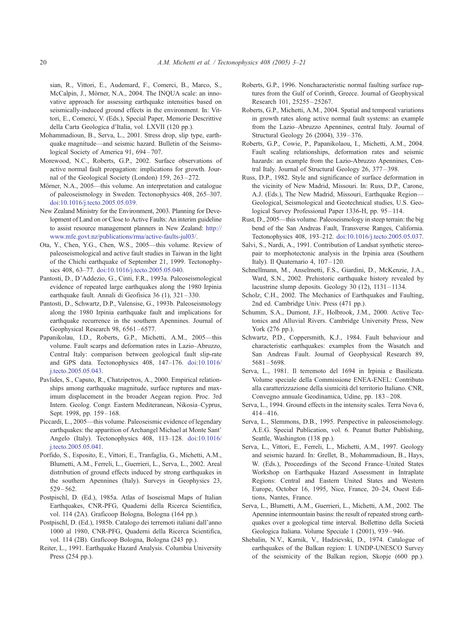<span id="page-17-0"></span>sian, R., Vittori, E., Audemard, F., Comerci, B., Marco, S., McCalpin, J., Mörner, N.A., 2004. The INQUA scale: an innovative approach for assessing earthquake intensities based on seismically-induced ground effects in the environment. In: Vittori, E., Comerci, V. (Eds.), Special Paper, Memorie Descrittive della Carta Geologica d'Italia, vol. LXVII (120 pp.).

- Mohammadioun, B., Serva, L., 2001. Stress drop, slip type, earthquake magnitude—and seismic hazard. Bulletin of the Seismological Society of America 91, 694-707.
- Morewood, N.C., Roberts, G.P., 2002. Surface observations of active normal fault propagation: implications for growth. Journal of the Geological Society (London) 159, 263 – 272.
- Mörner, N.A., 2005—this volume. An interpretation and catalogue of paleoseismology in Sweden. Tectonophysics 408, 265–307. [doi:10.1016/j.tecto.2005.05.039.](http://dx.doi.org/doi:10.1016/j.tecto.2005.05.039)
- New Zealand Ministry for the Environment, 2003. Planning for Development of Land on or Close to Active Faults: An interim guideline to assist resource management planners in New Zealand: [http://](http://www.mfe.govt.nz/publications/rma/active-faults-jul03/) www.mfe.govt.nz/publications/rma/active-faults-jul03/.
- Ota, Y., Chen, Y.G., Chen, W.S., 2005—this volume. Review of paleoseismological and active fault studies in Taiwan in the light of the Chichi earthquake of September 21, 1999. Tectonophysics 408, 63–77. [doi:10.1016/j.tecto.2005.05.040.](http://dx.doi.org/doi:10.1016/j.tecto.2005.05.040)
- Pantosti, D., D'Addezio, G., Cinti, F.R., 1993a. Paleoseismological evidence of repeated large earthquakes along the 1980 Irpinia earthquake fault. Annali di Geofisica 36 (1), 321 – 330.
- Pantosti, D., Schwartz, D.P., Valensise, G., 1993b. Paleoseismology along the 1980 Irpinia earthquake fault and implications for earthquake recurrence in the southern Apennines. Journal of Geophysical Research 98, 6561-6577.
- Papanikolau, I.D., Roberts, G.P., Michetti, A.M., 2005—this volume. Fault scarps and deformation rates in Lazio–Abruzzo, Central Italy: comparison between geological fault slip-rate and GPS data. Tectonophysics 408, 147–176. [doi:10.1016/](http://dx.doi.org/doi:10.1016/j.tecto.2005.05.043) j.tecto.2005.05.043.
- Pavlides, S., Caputo, R., Chatzipetros, A., 2000. Empirical relationships among earthquake magnitude, surface ruptures and maximum displacement in the broader Aegean region. Proc. 3rd Intern. Geolog. Congr. Eastern Mediteranean, Nikosia–Cyprus, Sept. 1998, pp. 159–168.
- Piccardi, L., 2005—this volume. Paleoseismic evidence of legendary earthquakes: the apparition of Archangel Michael at Monte Sant' Angelo (Italy). Tectonophysics 408, 113–128. [doi:10.1016/](http://dx.doi.org/doi:10.1016/j.tecto.2005.05.041) j.tecto.2005.05.041.
- Porfido, S., Esposito, E., Vittori, E., Tranfaglia, G., Michetti, A.M., Blumetti, A.M., Ferreli, L., Guerrieri, L., Serva, L., 2002. Areal distribution of ground effects induced by strong earthquakes in the southern Apennines (Italy). Surveys in Geophysics 23,  $529 - 562.$
- Postpischl, D. (Ed.), 1985a. Atlas of Isoseismal Maps of Italian Earthquakes, CNR-PFG, Quaderni della Ricerca Scientifica, vol. 114 (2A). Graficoop Bologna, Bologna (164 pp.).
- Postpischl, D. (Ed.), 1985b. Catalogo dei terremoti italiani dall'anno 1000 al 1980, CNR-PFG, Quaderni della Ricerca Scientifica, vol. 114 (2B). Graficoop Bologna, Bologna (243 pp.).
- Reiter, L., 1991. Earthquake Hazard Analysis. Columbia University Press (254 pp.).
- Roberts, G.P., 1996. Noncharacteristic normal faulting surface ruptures from the Gulf of Corinth, Greece. Journal of Geophysical Research 101, 25255 – 25267.
- Roberts, G.P., Michetti, A.M., 2004. Spatial and temporal variations in growth rates along active normal fault systems: an example from the Lazio–Abruzzo Apennines, central Italy. Journal of Structural Geology 26 (2004), 339 – 376.
- Roberts, G.P., Cowie, P., Papanikolaou, I., Michetti, A.M., 2004. Fault scaling relationships, deformation rates and seismic hazards: an example from the Lazio-Abruzzo Apennines, Central Italy. Journal of Structural Geology 26, 377 – 398.
- Russ, D.P., 1982. Style and significance of surface deformation in the vicinity of New Madrid, Missouri. In: Russ, D.P., Carone, A.J. (Eds.), The New Madrid, Missouri, Earthquake Region— Geological, Seismological and Geotechnical studies, U.S. Geological Survey Professional Paper 1336-H, pp. 95-114.
- Rust, D., 2005—this volume. Paleoseismology in steep terrain: the big bend of the San Andreas Fault, Transverse Ranges, California. Tectonophysics 408, 193–212. [doi:10.1016/j.tecto.2005.05.037.](http://dx.doi.org/doi:10.1016/j.tecto.2005.05.037)
- Salvi, S., Nardi, A., 1991. Contribution of Landsat synthetic stereopair to morphotectonic analysis in the Irpinia area (Southern Italy). Il Quaternario 4,  $107 - 120$ .
- Schnellmann, M., Anselmetti, F.S., Giardini, D., McKenzie, J.A., Ward, S.N., 2002. Prehistoric earthquake history revealed by lacustrine slump deposits. Geology 30  $(12)$ ,  $1131-1134$ .
- Scholz, C.H., 2002. The Mechanics of Earthquakes and Faulting, 2nd ed. Cambridge Univ. Press (471 pp.).
- Schumm, S.A., Dumont, J.F., Holbrook, J.M., 2000. Active Tectonics and Alluvial Rivers. Cambridge University Press, New York (276 pp.).
- Schwartz, P.D., Coppersmith, K.J., 1984. Fault behaviour and characteristic earthquakes: examples from the Wasatch and San Andreas Fault. Journal of Geophysical Research 89, 5681 – 5698.
- Serva, L., 1981. Il terremoto del 1694 in Irpinia e Basilicata. Volume speciale della Commissione ENEA-ENEL: Contributo alla caratterizzazione della sismicita` del territorio Italiano. CNR, Convegno annuale Geodinamica, Udine, pp. 183 – 208.
- Serva, L., 1994. Ground effects in the intensity scales. Terra Nova 6,  $414 - 416.$
- Serva, L., Slemmons, D.B., 1995. Perspective in paleoseismology. A.E.G. Special Publication, vol. 6. Peanut Butter Publishing, Seattle, Washington (138 pp.).
- Serva, L., Vittori, E., Ferreli, L., Michetti, A.M., 1997. Geology and seismic hazard. In: Grellet, B., Mohammadioun, B., Hays, W. (Eds.), Proceedings of the Second France–United States Workshop on Earthquake Hazard Assessment in Intraplate Regions: Central and Eastern United States and Western Europe, October 16, 1995, Nice, France, 20–24, Ouest Editions, Nantes, France.
- Serva, L., Blumetti, A.M., Guerrieri, L., Michetti, A.M., 2002. The Apennine intermountain basins: the result of repeated strong earthquakes over a geological time interval. Bollettino della Societa` Geologica Italiana. Volume Speciale 1 (2001), 939 – 946.
- Shebalin, N.V., Karnik, V., Hadzievski, D., 1974. Catalogue of earthquakes of the Balkan region: I. UNDP-UNESCO Survey of the seismicity of the Balkan region, Skopje (600 pp.).